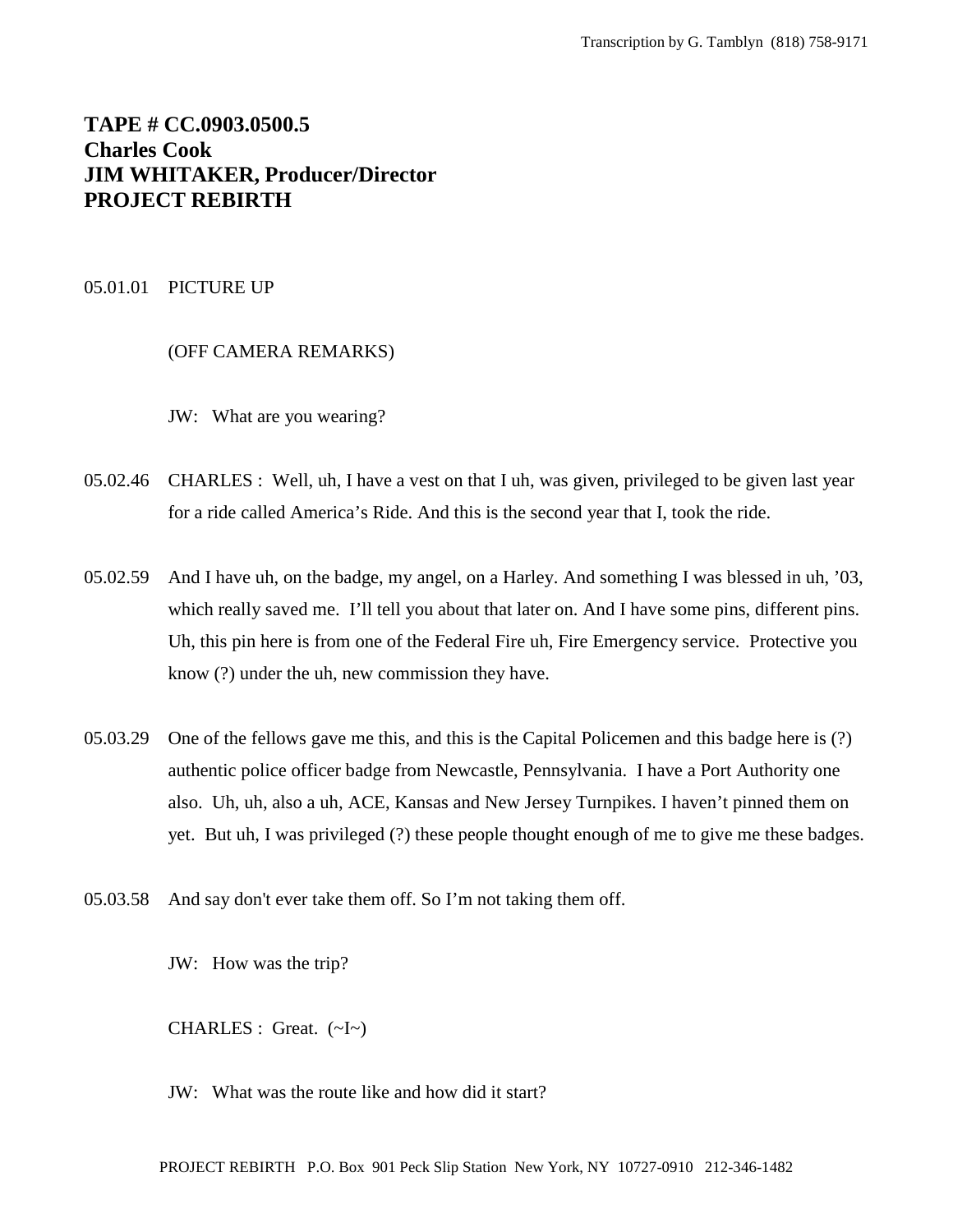# **TAPE # CC.0903.0500.5 Charles Cook JIM WHITAKER, Producer/Director PROJECT REBIRTH**

#### 05.01.01 PICTURE UP

## (OFF CAMERA REMARKS)

JW: What are you wearing?

- 05.02.46 CHARLES : Well, uh, I have a vest on that I uh, was given, privileged to be given last year for a ride called America's Ride. And this is the second year that I, took the ride.
- 05.02.59 And I have uh, on the badge, my angel, on a Harley. And something I was blessed in uh, '03, which really saved me. I'll tell you about that later on. And I have some pins, different pins. Uh, this pin here is from one of the Federal Fire uh, Fire Emergency service. Protective you know (?) under the uh, new commission they have.
- 05.03.29 One of the fellows gave me this, and this is the Capital Policemen and this badge here is (?) authentic police officer badge from Newcastle, Pennsylvania. I have a Port Authority one also. Uh, uh, also a uh, ACE, Kansas and New Jersey Turnpikes. I haven't pinned them on yet. But uh, I was privileged (?) these people thought enough of me to give me these badges.
- 05.03.58 And say don't ever take them off. So I'm not taking them off.

JW: How was the trip?

CHARLES : Great. (~I~)

JW: What was the route like and how did it start?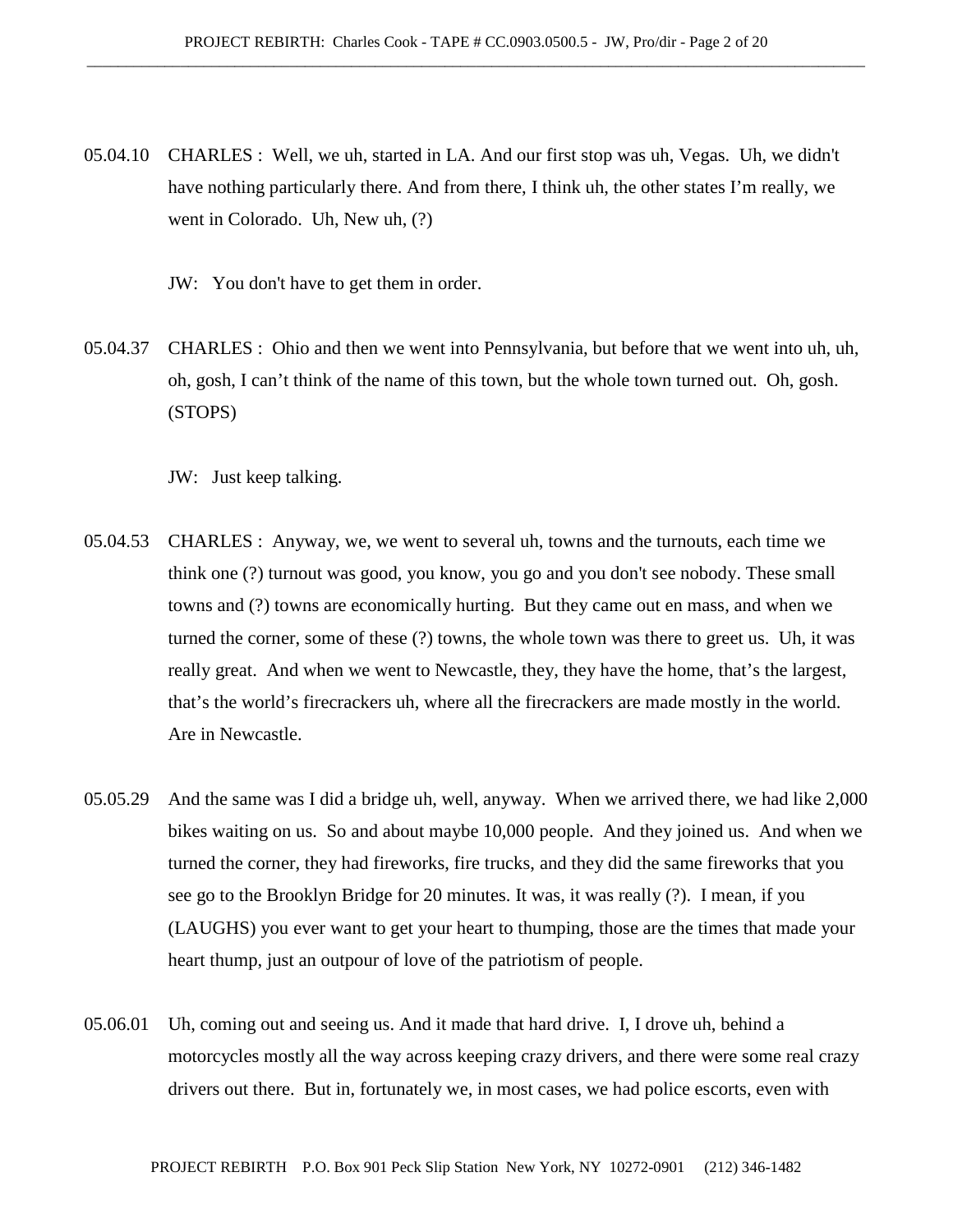- 05.04.10 CHARLES : Well, we uh, started in LA. And our first stop was uh, Vegas. Uh, we didn't have nothing particularly there. And from there, I think uh, the other states I'm really, we went in Colorado. Uh, New uh, (?)
	- JW: You don't have to get them in order.
- 05.04.37 CHARLES : Ohio and then we went into Pennsylvania, but before that we went into uh, uh, oh, gosh, I can't think of the name of this town, but the whole town turned out. Oh, gosh. (STOPS)

JW: Just keep talking.

- 05.04.53 CHARLES : Anyway, we, we went to several uh, towns and the turnouts, each time we think one (?) turnout was good, you know, you go and you don't see nobody. These small towns and (?) towns are economically hurting. But they came out en mass, and when we turned the corner, some of these (?) towns, the whole town was there to greet us. Uh, it was really great. And when we went to Newcastle, they, they have the home, that's the largest, that's the world's firecrackers uh, where all the firecrackers are made mostly in the world. Are in Newcastle.
- 05.05.29 And the same was I did a bridge uh, well, anyway. When we arrived there, we had like 2,000 bikes waiting on us. So and about maybe 10,000 people. And they joined us. And when we turned the corner, they had fireworks, fire trucks, and they did the same fireworks that you see go to the Brooklyn Bridge for 20 minutes. It was, it was really (?). I mean, if you (LAUGHS) you ever want to get your heart to thumping, those are the times that made your heart thump, just an outpour of love of the patriotism of people.
- 05.06.01 Uh, coming out and seeing us. And it made that hard drive. I, I drove uh, behind a motorcycles mostly all the way across keeping crazy drivers, and there were some real crazy drivers out there. But in, fortunately we, in most cases, we had police escorts, even with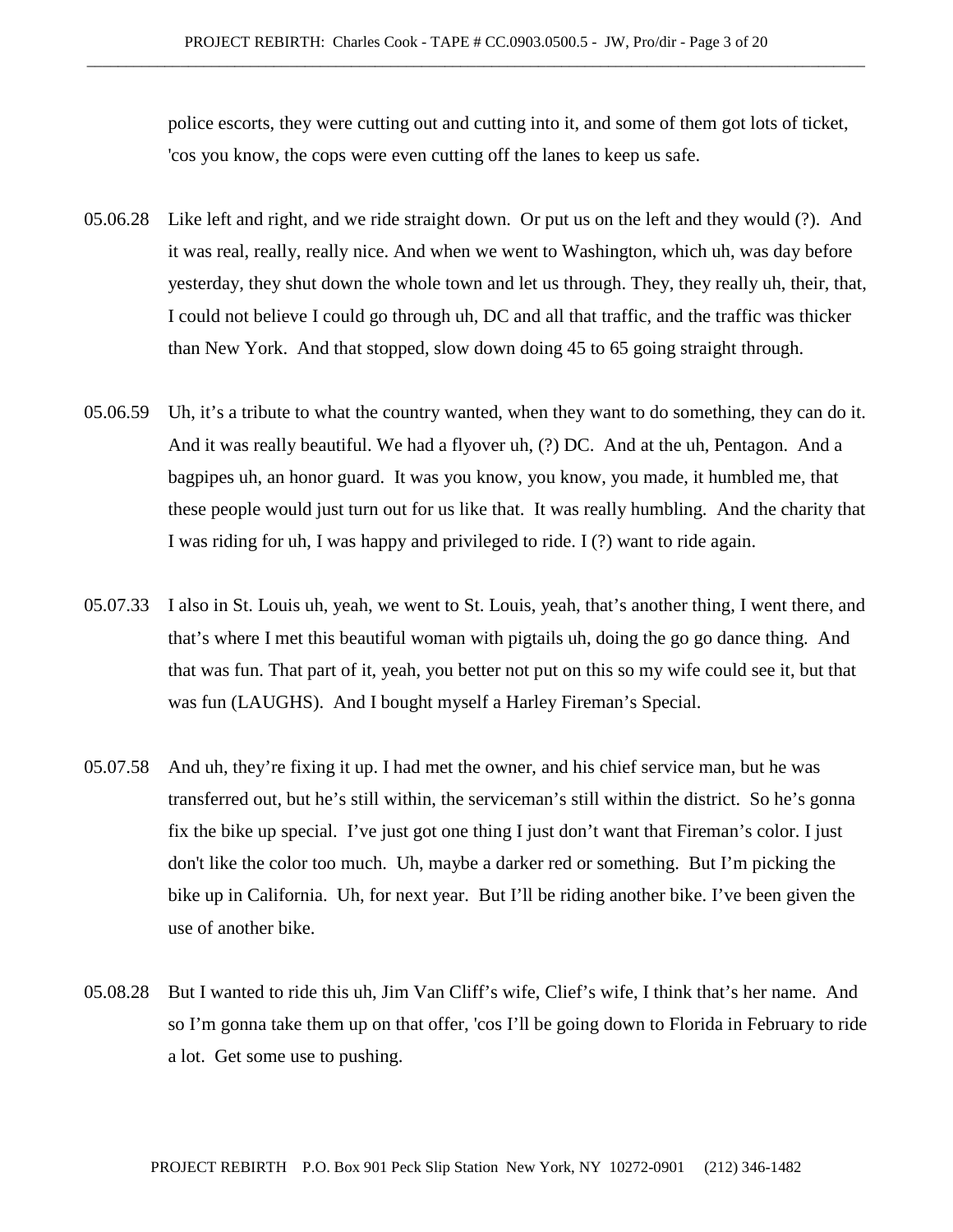police escorts, they were cutting out and cutting into it, and some of them got lots of ticket, 'cos you know, the cops were even cutting off the lanes to keep us safe.

- 05.06.28 Like left and right, and we ride straight down. Or put us on the left and they would (?). And it was real, really, really nice. And when we went to Washington, which uh, was day before yesterday, they shut down the whole town and let us through. They, they really uh, their, that, I could not believe I could go through uh, DC and all that traffic, and the traffic was thicker than New York. And that stopped, slow down doing 45 to 65 going straight through.
- 05.06.59 Uh, it's a tribute to what the country wanted, when they want to do something, they can do it. And it was really beautiful. We had a flyover uh, (?) DC. And at the uh, Pentagon. And a bagpipes uh, an honor guard. It was you know, you know, you made, it humbled me, that these people would just turn out for us like that. It was really humbling. And the charity that I was riding for uh, I was happy and privileged to ride. I (?) want to ride again.
- 05.07.33 I also in St. Louis uh, yeah, we went to St. Louis, yeah, that's another thing, I went there, and that's where I met this beautiful woman with pigtails uh, doing the go go dance thing. And that was fun. That part of it, yeah, you better not put on this so my wife could see it, but that was fun (LAUGHS). And I bought myself a Harley Fireman's Special.
- 05.07.58 And uh, they're fixing it up. I had met the owner, and his chief service man, but he was transferred out, but he's still within, the serviceman's still within the district. So he's gonna fix the bike up special. I've just got one thing I just don't want that Fireman's color. I just don't like the color too much. Uh, maybe a darker red or something. But I'm picking the bike up in California. Uh, for next year. But I'll be riding another bike. I've been given the use of another bike.
- 05.08.28 But I wanted to ride this uh, Jim Van Cliff's wife, Clief's wife, I think that's her name. And so I'm gonna take them up on that offer, 'cos I'll be going down to Florida in February to ride a lot. Get some use to pushing.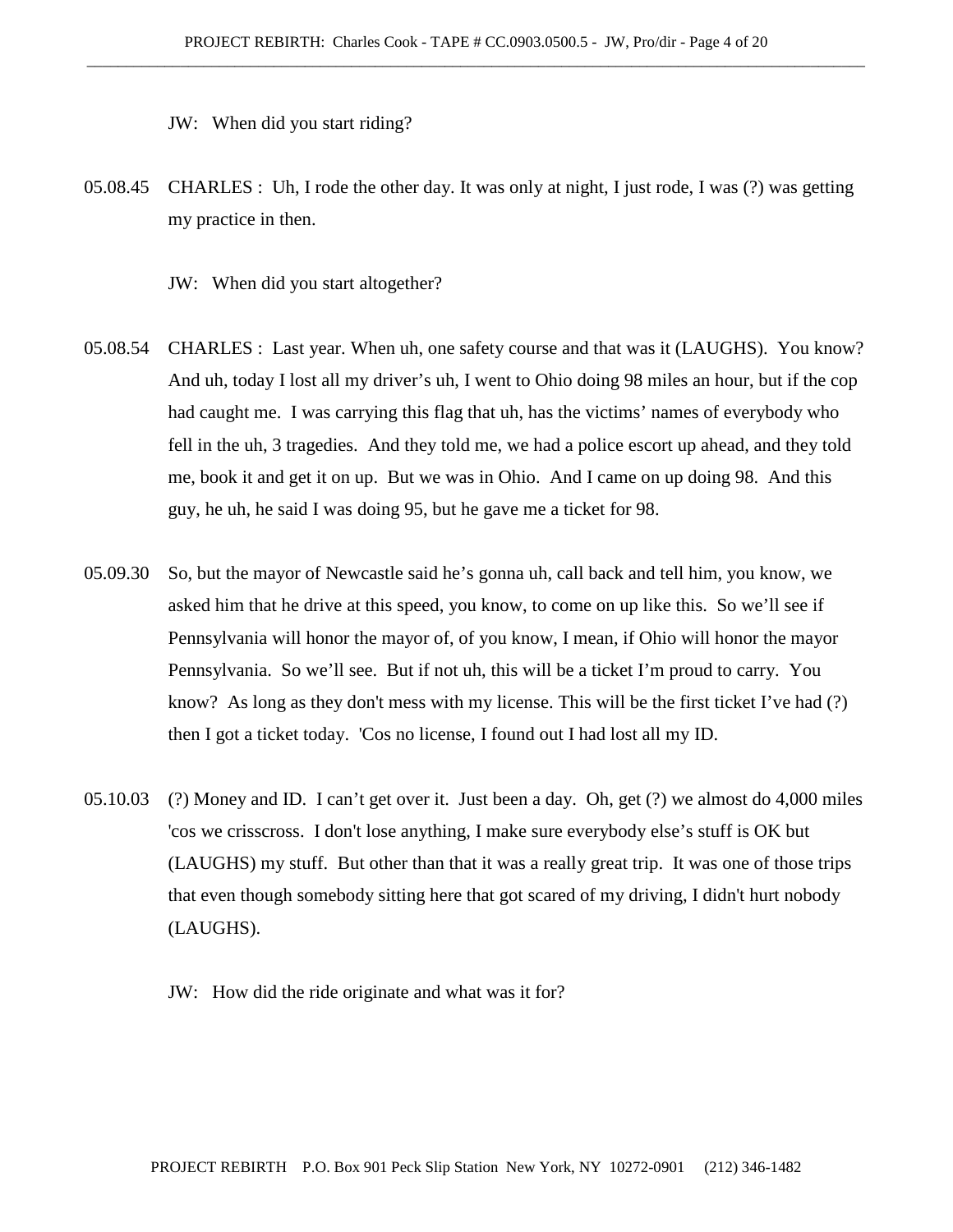JW: When did you start riding?

- 05.08.45 CHARLES : Uh, I rode the other day. It was only at night, I just rode, I was (?) was getting my practice in then.
	- JW: When did you start altogether?
- 05.08.54 CHARLES : Last year. When uh, one safety course and that was it (LAUGHS). You know? And uh, today I lost all my driver's uh, I went to Ohio doing 98 miles an hour, but if the cop had caught me. I was carrying this flag that uh, has the victims' names of everybody who fell in the uh, 3 tragedies. And they told me, we had a police escort up ahead, and they told me, book it and get it on up. But we was in Ohio. And I came on up doing 98. And this guy, he uh, he said I was doing 95, but he gave me a ticket for 98.
- 05.09.30 So, but the mayor of Newcastle said he's gonna uh, call back and tell him, you know, we asked him that he drive at this speed, you know, to come on up like this. So we'll see if Pennsylvania will honor the mayor of, of you know, I mean, if Ohio will honor the mayor Pennsylvania. So we'll see. But if not uh, this will be a ticket I'm proud to carry. You know? As long as they don't mess with my license. This will be the first ticket I've had (?) then I got a ticket today. 'Cos no license, I found out I had lost all my ID.
- 05.10.03 (?) Money and ID. I can't get over it. Just been a day. Oh, get (?) we almost do 4,000 miles 'cos we crisscross. I don't lose anything, I make sure everybody else's stuff is OK but (LAUGHS) my stuff. But other than that it was a really great trip. It was one of those trips that even though somebody sitting here that got scared of my driving, I didn't hurt nobody (LAUGHS).
	- JW: How did the ride originate and what was it for?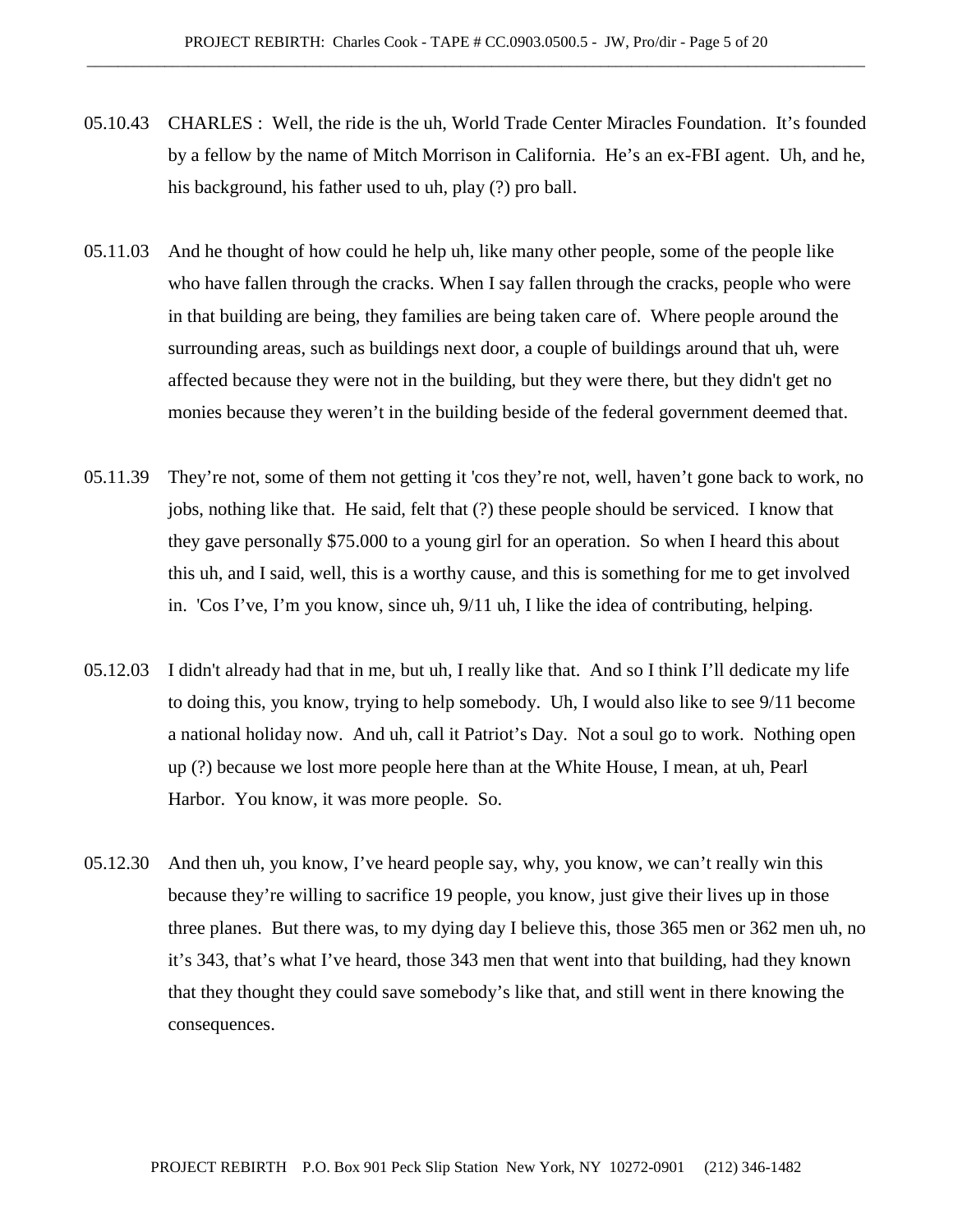- 05.10.43 CHARLES : Well, the ride is the uh, World Trade Center Miracles Foundation. It's founded by a fellow by the name of Mitch Morrison in California. He's an ex-FBI agent. Uh, and he, his background, his father used to uh, play (?) pro ball.
- 05.11.03 And he thought of how could he help uh, like many other people, some of the people like who have fallen through the cracks. When I say fallen through the cracks, people who were in that building are being, they families are being taken care of. Where people around the surrounding areas, such as buildings next door, a couple of buildings around that uh, were affected because they were not in the building, but they were there, but they didn't get no monies because they weren't in the building beside of the federal government deemed that.
- 05.11.39 They're not, some of them not getting it 'cos they're not, well, haven't gone back to work, no jobs, nothing like that. He said, felt that (?) these people should be serviced. I know that they gave personally \$75.000 to a young girl for an operation. So when I heard this about this uh, and I said, well, this is a worthy cause, and this is something for me to get involved in. 'Cos I've, I'm you know, since uh, 9/11 uh, I like the idea of contributing, helping.
- 05.12.03 I didn't already had that in me, but uh, I really like that. And so I think I'll dedicate my life to doing this, you know, trying to help somebody. Uh, I would also like to see 9/11 become a national holiday now. And uh, call it Patriot's Day. Not a soul go to work. Nothing open up (?) because we lost more people here than at the White House, I mean, at uh, Pearl Harbor. You know, it was more people. So.
- 05.12.30 And then uh, you know, I've heard people say, why, you know, we can't really win this because they're willing to sacrifice 19 people, you know, just give their lives up in those three planes. But there was, to my dying day I believe this, those 365 men or 362 men uh, no it's 343, that's what I've heard, those 343 men that went into that building, had they known that they thought they could save somebody's like that, and still went in there knowing the consequences.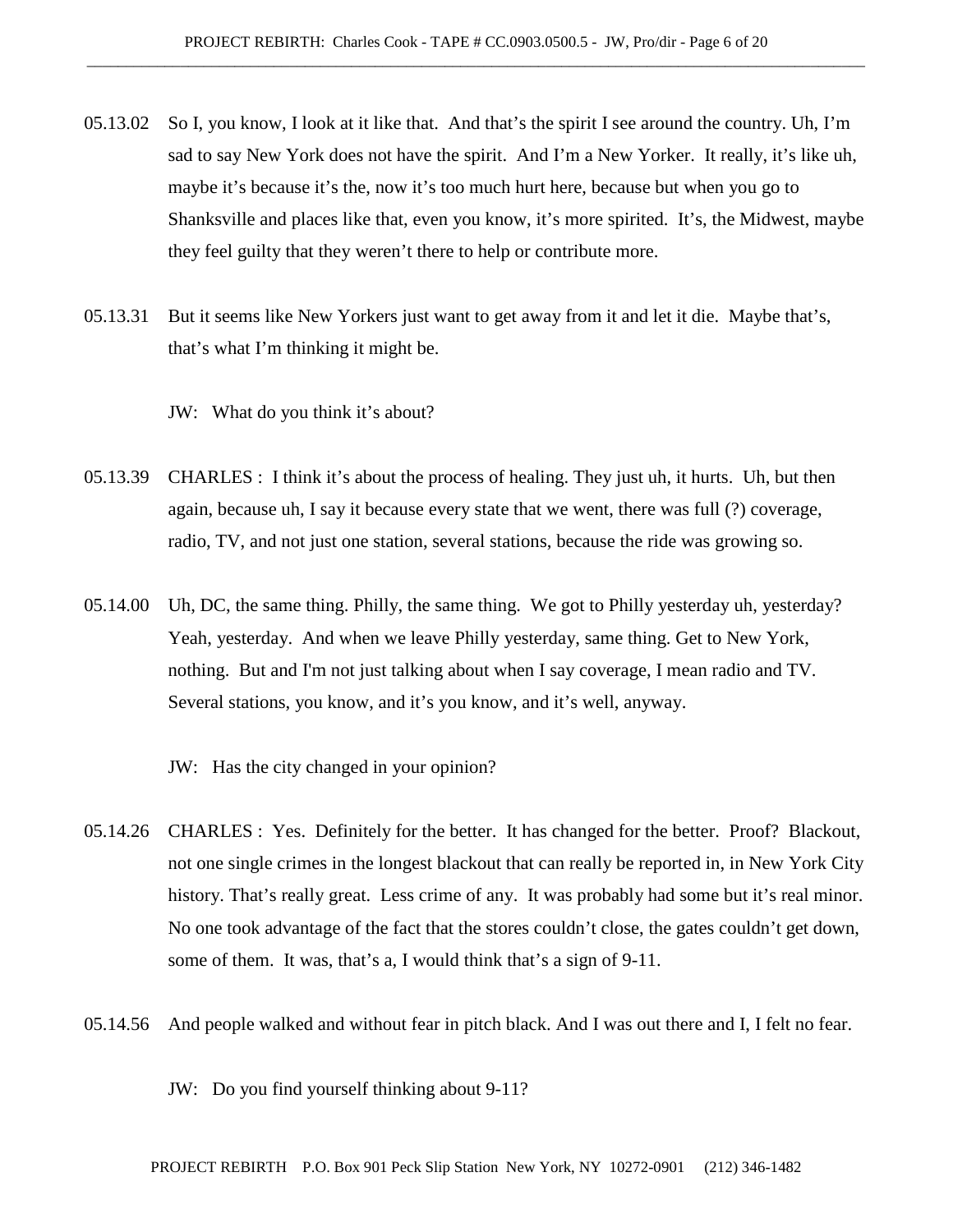- 05.13.02 So I, you know, I look at it like that. And that's the spirit I see around the country. Uh, I'm sad to say New York does not have the spirit. And I'm a New Yorker. It really, it's like uh, maybe it's because it's the, now it's too much hurt here, because but when you go to Shanksville and places like that, even you know, it's more spirited. It's, the Midwest, maybe they feel guilty that they weren't there to help or contribute more.
- 05.13.31 But it seems like New Yorkers just want to get away from it and let it die. Maybe that's, that's what I'm thinking it might be.

JW: What do you think it's about?

- 05.13.39 CHARLES : I think it's about the process of healing. They just uh, it hurts. Uh, but then again, because uh, I say it because every state that we went, there was full (?) coverage, radio, TV, and not just one station, several stations, because the ride was growing so.
- 05.14.00 Uh, DC, the same thing. Philly, the same thing. We got to Philly yesterday uh, yesterday? Yeah, yesterday. And when we leave Philly yesterday, same thing. Get to New York, nothing. But and I'm not just talking about when I say coverage, I mean radio and TV. Several stations, you know, and it's you know, and it's well, anyway.
	- JW: Has the city changed in your opinion?
- 05.14.26 CHARLES : Yes. Definitely for the better. It has changed for the better. Proof? Blackout, not one single crimes in the longest blackout that can really be reported in, in New York City history. That's really great. Less crime of any. It was probably had some but it's real minor. No one took advantage of the fact that the stores couldn't close, the gates couldn't get down, some of them. It was, that's a, I would think that's a sign of 9-11.
- 05.14.56 And people walked and without fear in pitch black. And I was out there and I, I felt no fear.

JW: Do you find yourself thinking about 9-11?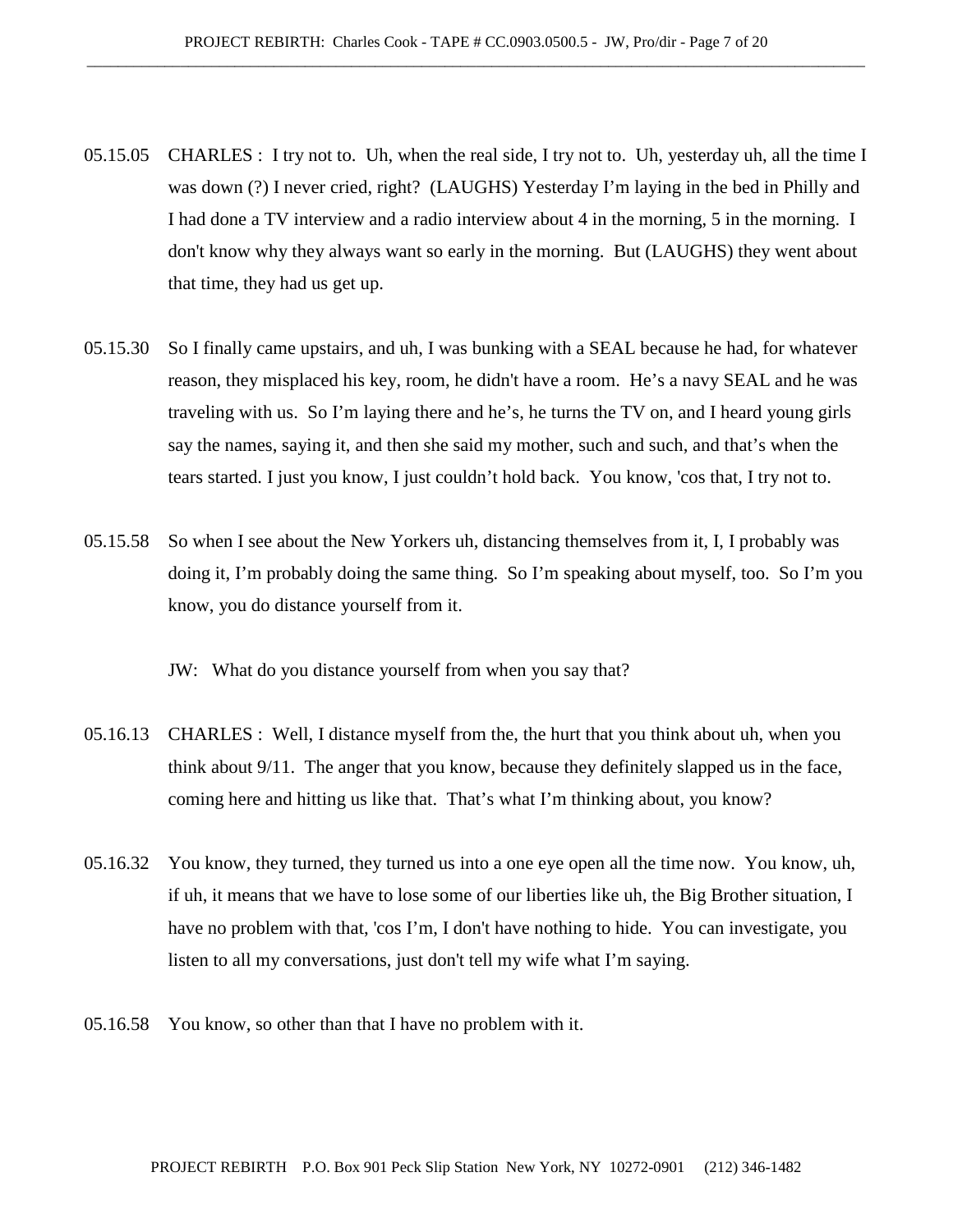- 05.15.05 CHARLES : I try not to. Uh, when the real side, I try not to. Uh, yesterday uh, all the time I was down (?) I never cried, right? (LAUGHS) Yesterday I'm laying in the bed in Philly and I had done a TV interview and a radio interview about 4 in the morning, 5 in the morning. I don't know why they always want so early in the morning. But (LAUGHS) they went about that time, they had us get up.
- 05.15.30 So I finally came upstairs, and uh, I was bunking with a SEAL because he had, for whatever reason, they misplaced his key, room, he didn't have a room. He's a navy SEAL and he was traveling with us. So I'm laying there and he's, he turns the TV on, and I heard young girls say the names, saying it, and then she said my mother, such and such, and that's when the tears started. I just you know, I just couldn't hold back. You know, 'cos that, I try not to.
- 05.15.58 So when I see about the New Yorkers uh, distancing themselves from it, I, I probably was doing it, I'm probably doing the same thing. So I'm speaking about myself, too. So I'm you know, you do distance yourself from it.

JW: What do you distance yourself from when you say that?

- 05.16.13 CHARLES : Well, I distance myself from the, the hurt that you think about uh, when you think about 9/11. The anger that you know, because they definitely slapped us in the face, coming here and hitting us like that. That's what I'm thinking about, you know?
- 05.16.32 You know, they turned, they turned us into a one eye open all the time now. You know, uh, if uh, it means that we have to lose some of our liberties like uh, the Big Brother situation, I have no problem with that, 'cos I'm, I don't have nothing to hide. You can investigate, you listen to all my conversations, just don't tell my wife what I'm saying.
- 05.16.58 You know, so other than that I have no problem with it.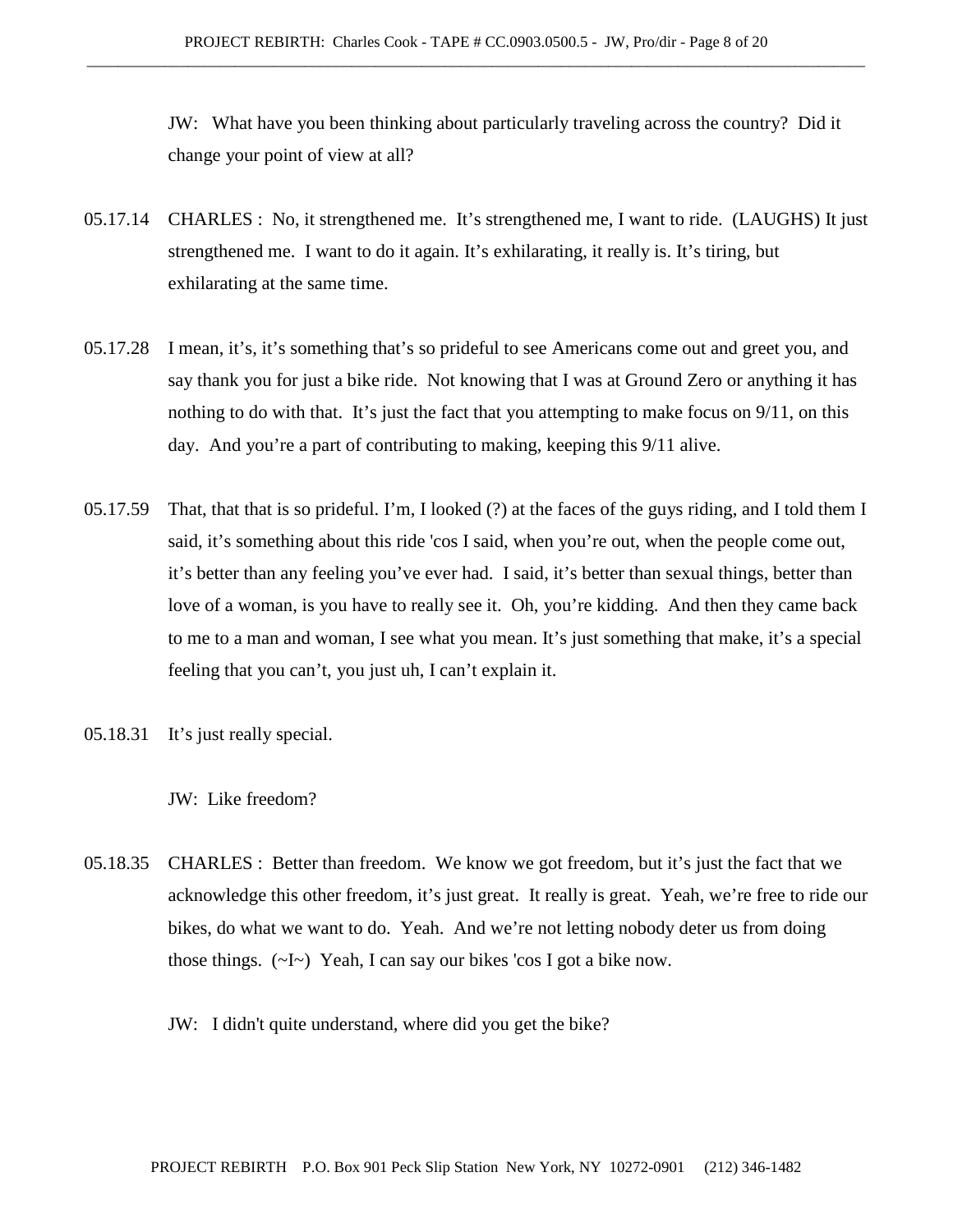JW: What have you been thinking about particularly traveling across the country? Did it change your point of view at all?

- 05.17.14 CHARLES : No, it strengthened me. It's strengthened me, I want to ride. (LAUGHS) It just strengthened me. I want to do it again. It's exhilarating, it really is. It's tiring, but exhilarating at the same time.
- 05.17.28 I mean, it's, it's something that's so prideful to see Americans come out and greet you, and say thank you for just a bike ride. Not knowing that I was at Ground Zero or anything it has nothing to do with that. It's just the fact that you attempting to make focus on 9/11, on this day. And you're a part of contributing to making, keeping this 9/11 alive.
- 05.17.59 That, that that is so prideful. I'm, I looked (?) at the faces of the guys riding, and I told them I said, it's something about this ride 'cos I said, when you're out, when the people come out, it's better than any feeling you've ever had. I said, it's better than sexual things, better than love of a woman, is you have to really see it. Oh, you're kidding. And then they came back to me to a man and woman, I see what you mean. It's just something that make, it's a special feeling that you can't, you just uh, I can't explain it.
- 05.18.31 It's just really special.
	- JW: Like freedom?
- 05.18.35 CHARLES : Better than freedom. We know we got freedom, but it's just the fact that we acknowledge this other freedom, it's just great. It really is great. Yeah, we're free to ride our bikes, do what we want to do. Yeah. And we're not letting nobody deter us from doing those things.  $(\sim I \sim)$  Yeah, I can say our bikes 'cos I got a bike now.
	- JW: I didn't quite understand, where did you get the bike?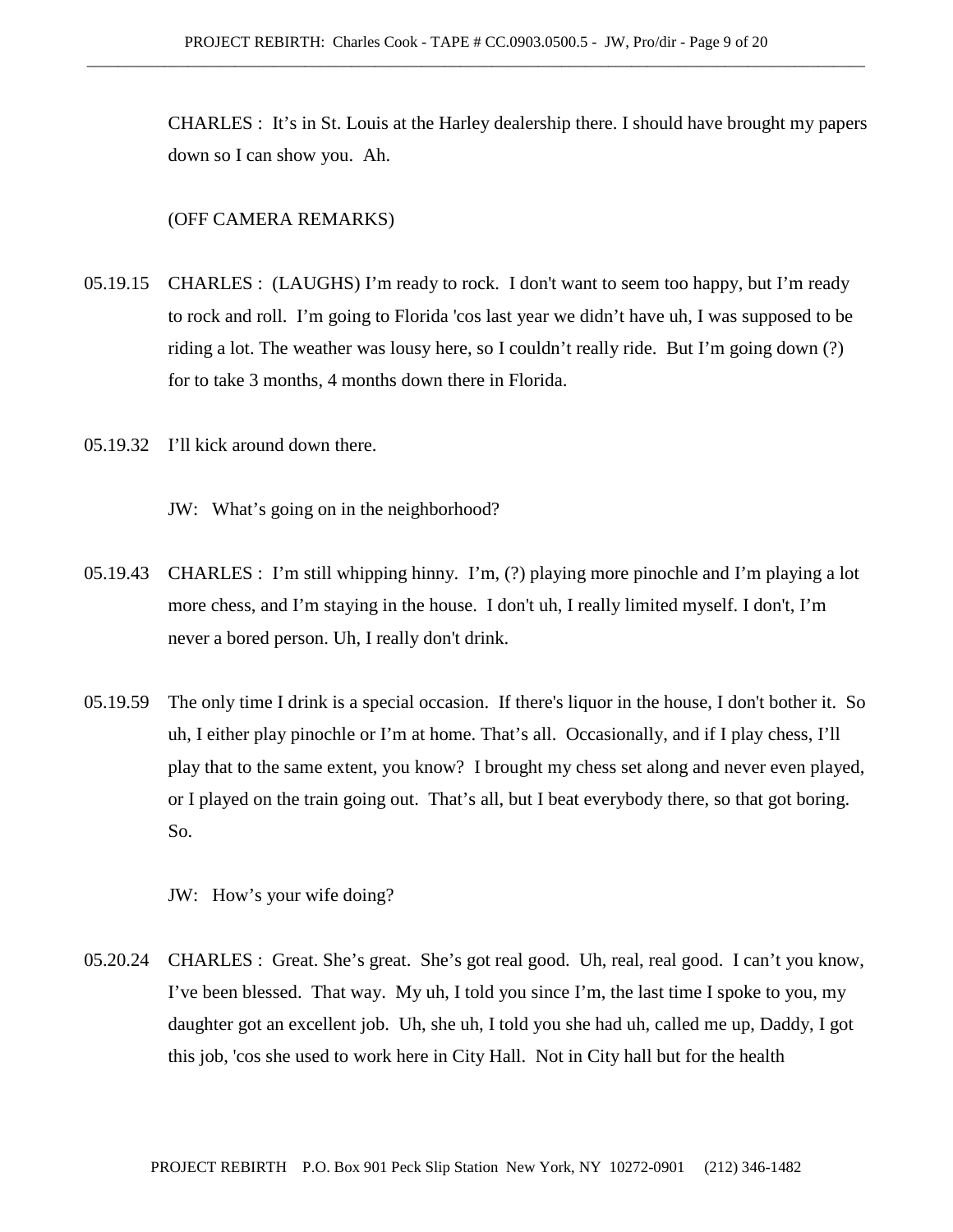CHARLES : It's in St. Louis at the Harley dealership there. I should have brought my papers down so I can show you. Ah.

#### (OFF CAMERA REMARKS)

- 05.19.15 CHARLES : (LAUGHS) I'm ready to rock. I don't want to seem too happy, but I'm ready to rock and roll. I'm going to Florida 'cos last year we didn't have uh, I was supposed to be riding a lot. The weather was lousy here, so I couldn't really ride. But I'm going down (?) for to take 3 months, 4 months down there in Florida.
- 05.19.32 I'll kick around down there.
	- JW: What's going on in the neighborhood?
- 05.19.43 CHARLES : I'm still whipping hinny. I'm, (?) playing more pinochle and I'm playing a lot more chess, and I'm staying in the house. I don't uh, I really limited myself. I don't, I'm never a bored person. Uh, I really don't drink.
- 05.19.59 The only time I drink is a special occasion. If there's liquor in the house, I don't bother it. So uh, I either play pinochle or I'm at home. That's all. Occasionally, and if I play chess, I'll play that to the same extent, you know? I brought my chess set along and never even played, or I played on the train going out. That's all, but I beat everybody there, so that got boring. So.
	- JW: How's your wife doing?
- 05.20.24 CHARLES : Great. She's great. She's got real good. Uh, real, real good. I can't you know, I've been blessed. That way. My uh, I told you since I'm, the last time I spoke to you, my daughter got an excellent job. Uh, she uh, I told you she had uh, called me up, Daddy, I got this job, 'cos she used to work here in City Hall. Not in City hall but for the health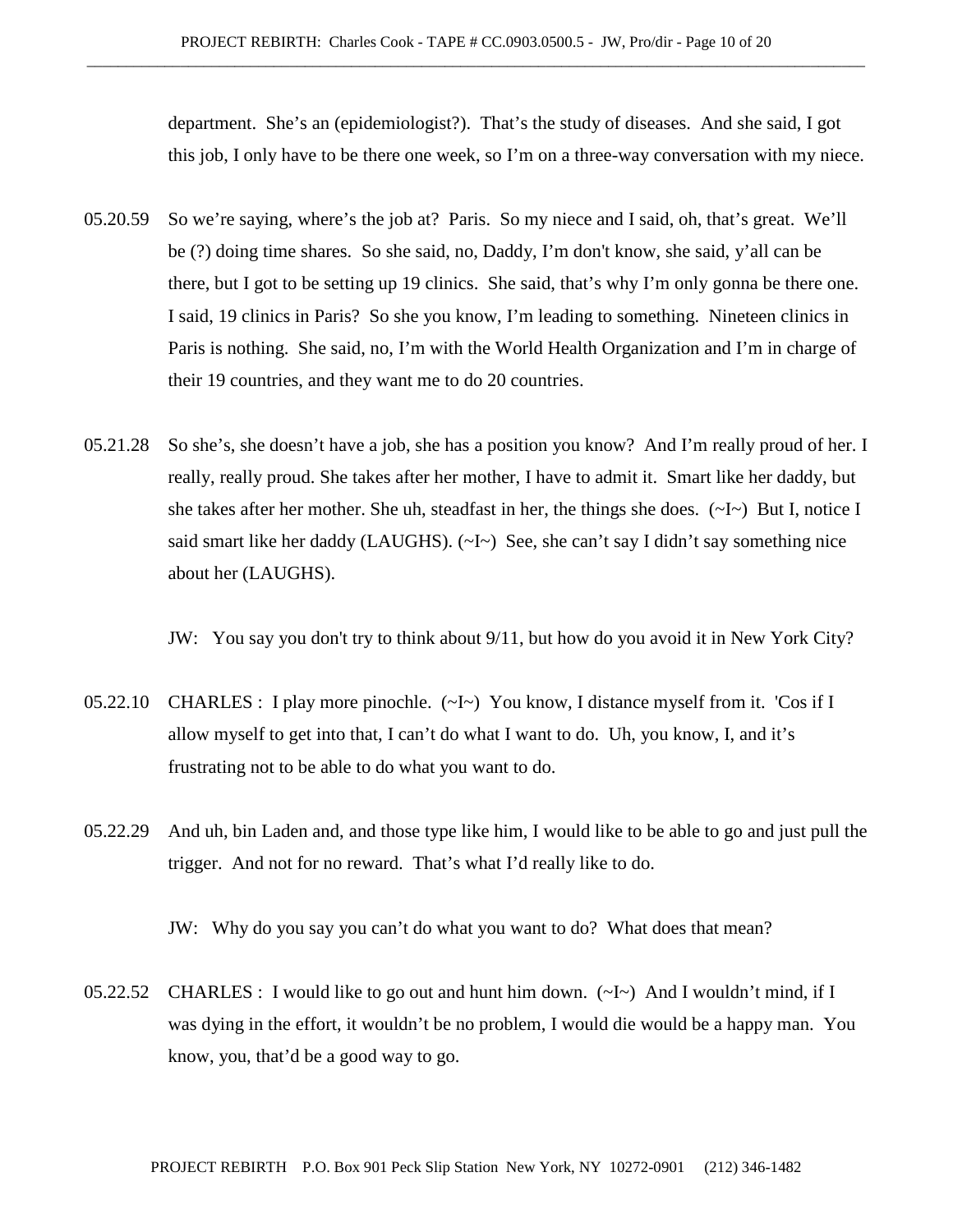department. She's an (epidemiologist?). That's the study of diseases. And she said, I got this job, I only have to be there one week, so I'm on a three-way conversation with my niece.

- 05.20.59 So we're saying, where's the job at? Paris. So my niece and I said, oh, that's great. We'll be (?) doing time shares. So she said, no, Daddy, I'm don't know, she said, y'all can be there, but I got to be setting up 19 clinics. She said, that's why I'm only gonna be there one. I said, 19 clinics in Paris? So she you know, I'm leading to something. Nineteen clinics in Paris is nothing. She said, no, I'm with the World Health Organization and I'm in charge of their 19 countries, and they want me to do 20 countries.
- 05.21.28 So she's, she doesn't have a job, she has a position you know? And I'm really proud of her. I really, really proud. She takes after her mother, I have to admit it. Smart like her daddy, but she takes after her mother. She uh, steadfast in her, the things she does.  $(\sim I \sim)$  But I, notice I said smart like her daddy (LAUGHS). (~I~) See, she can't say I didn't say something nice about her (LAUGHS).

JW: You say you don't try to think about 9/11, but how do you avoid it in New York City?

- 05.22.10 CHARLES : I play more pinochle. (~I~) You know, I distance myself from it. 'Cos if I allow myself to get into that, I can't do what I want to do. Uh, you know, I, and it's frustrating not to be able to do what you want to do.
- 05.22.29 And uh, bin Laden and, and those type like him, I would like to be able to go and just pull the trigger. And not for no reward. That's what I'd really like to do.

JW: Why do you say you can't do what you want to do? What does that mean?

05.22.52 CHARLES : I would like to go out and hunt him down. (~I~) And I wouldn't mind, if I was dying in the effort, it wouldn't be no problem, I would die would be a happy man. You know, you, that'd be a good way to go.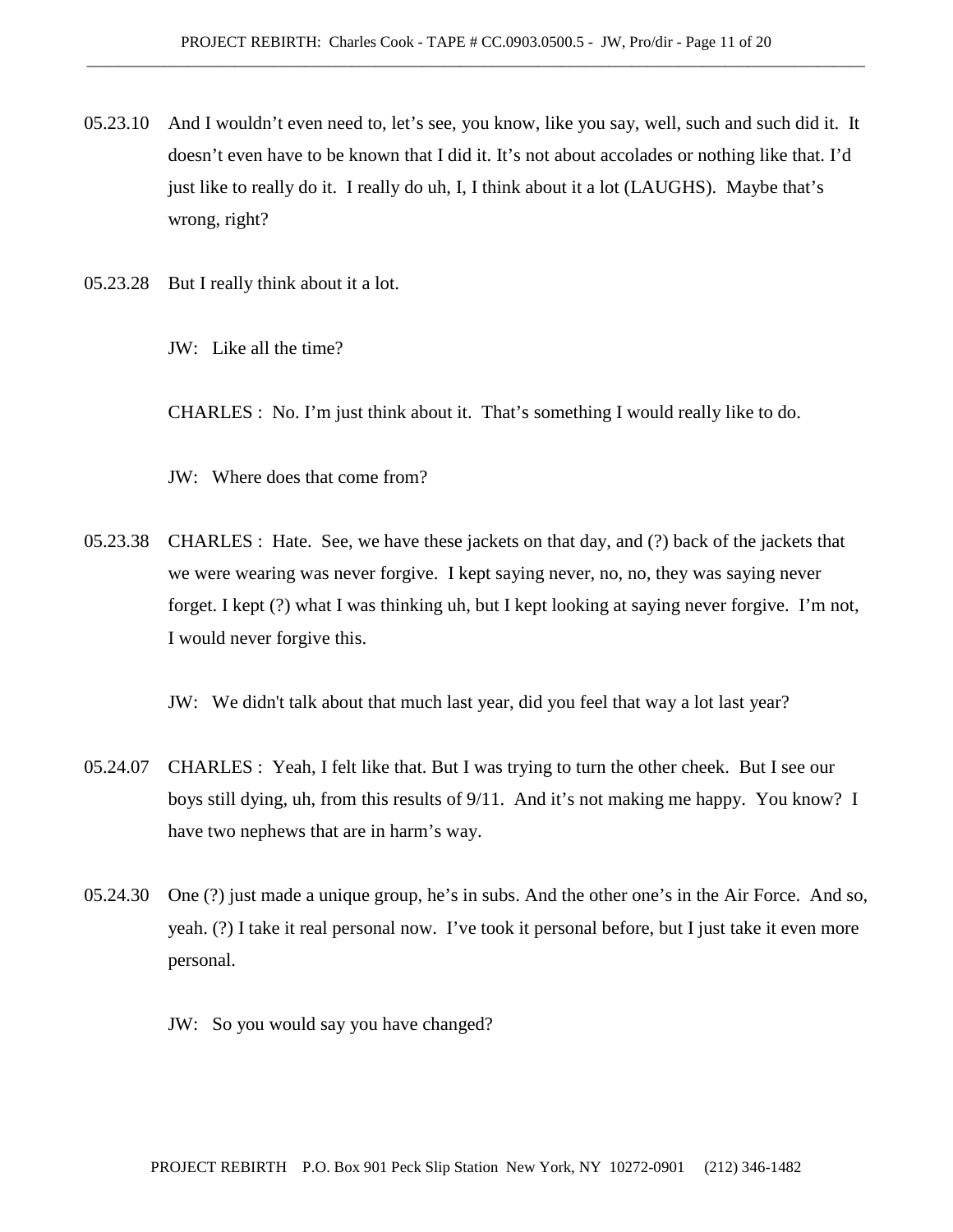- 05.23.10 And I wouldn't even need to, let's see, you know, like you say, well, such and such did it. It doesn't even have to be known that I did it. It's not about accolades or nothing like that. I'd just like to really do it. I really do uh, I, I think about it a lot (LAUGHS). Maybe that's wrong, right?
- 05.23.28 But I really think about it a lot.
	- JW: Like all the time?

CHARLES : No. I'm just think about it. That's something I would really like to do.

JW: Where does that come from?

05.23.38 CHARLES : Hate. See, we have these jackets on that day, and (?) back of the jackets that we were wearing was never forgive. I kept saying never, no, no, they was saying never forget. I kept (?) what I was thinking uh, but I kept looking at saying never forgive. I'm not, I would never forgive this.

JW: We didn't talk about that much last year, did you feel that way a lot last year?

- 05.24.07 CHARLES : Yeah, I felt like that. But I was trying to turn the other cheek. But I see our boys still dying, uh, from this results of 9/11. And it's not making me happy. You know? I have two nephews that are in harm's way.
- 05.24.30 One (?) just made a unique group, he's in subs. And the other one's in the Air Force. And so, yeah. (?) I take it real personal now. I've took it personal before, but I just take it even more personal.
	- JW: So you would say you have changed?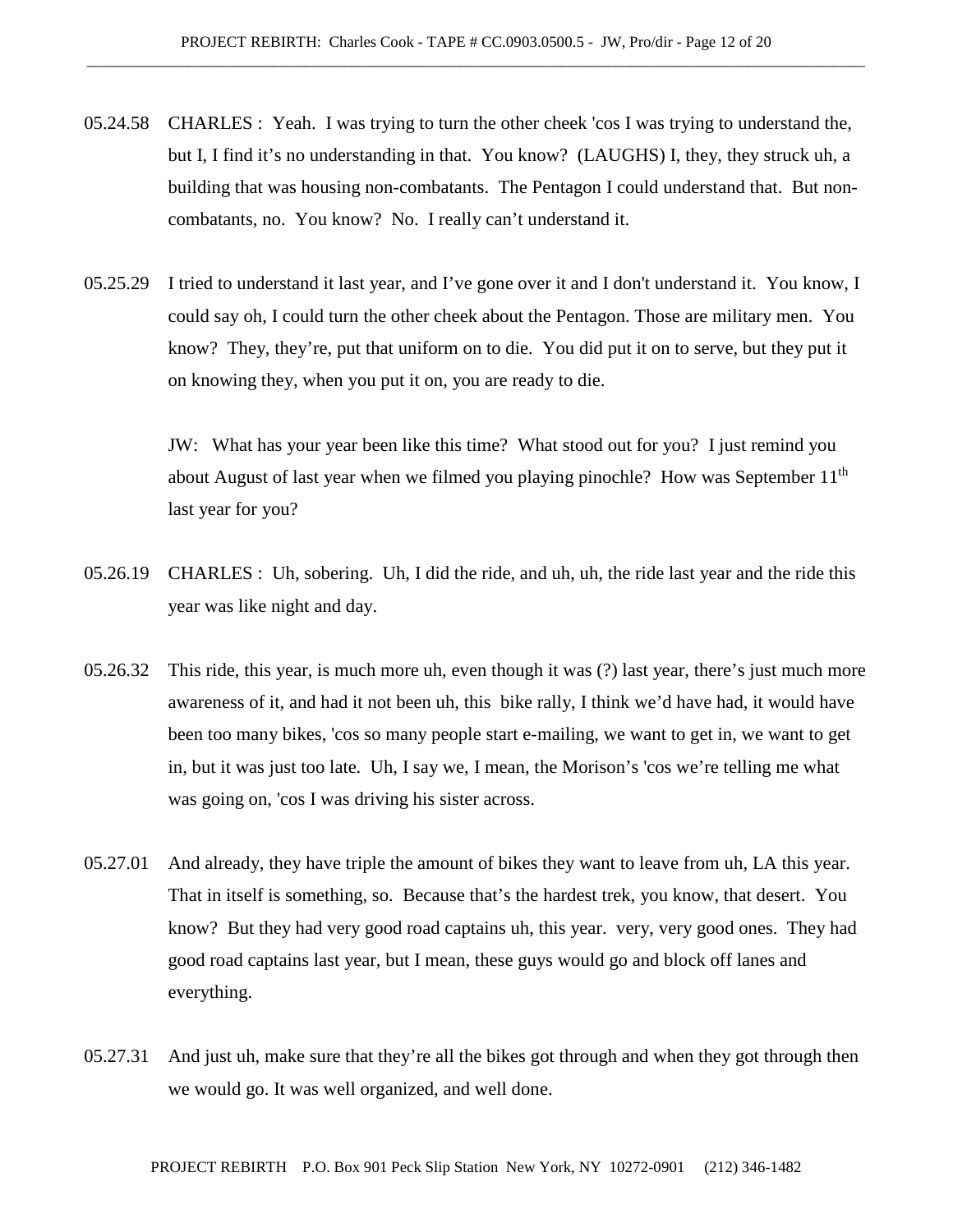- 05.24.58 CHARLES : Yeah. I was trying to turn the other cheek 'cos I was trying to understand the, but I, I find it's no understanding in that. You know? (LAUGHS) I, they, they struck uh, a building that was housing non-combatants. The Pentagon I could understand that. But noncombatants, no. You know? No. I really can't understand it.
- 05.25.29 I tried to understand it last year, and I've gone over it and I don't understand it. You know, I could say oh, I could turn the other cheek about the Pentagon. Those are military men. You know? They, they're, put that uniform on to die. You did put it on to serve, but they put it on knowing they, when you put it on, you are ready to die.

JW: What has your year been like this time? What stood out for you? I just remind you about August of last year when we filmed you playing pinochle? How was September  $11<sup>th</sup>$ last year for you?

- 05.26.19 CHARLES : Uh, sobering. Uh, I did the ride, and uh, uh, the ride last year and the ride this year was like night and day.
- 05.26.32 This ride, this year, is much more uh, even though it was (?) last year, there's just much more awareness of it, and had it not been uh, this bike rally, I think we'd have had, it would have been too many bikes, 'cos so many people start e-mailing, we want to get in, we want to get in, but it was just too late. Uh, I say we, I mean, the Morison's 'cos we're telling me what was going on, 'cos I was driving his sister across.
- 05.27.01 And already, they have triple the amount of bikes they want to leave from uh, LA this year. That in itself is something, so. Because that's the hardest trek, you know, that desert. You know? But they had very good road captains uh, this year. very, very good ones. They had good road captains last year, but I mean, these guys would go and block off lanes and everything.
- 05.27.31 And just uh, make sure that they're all the bikes got through and when they got through then we would go. It was well organized, and well done.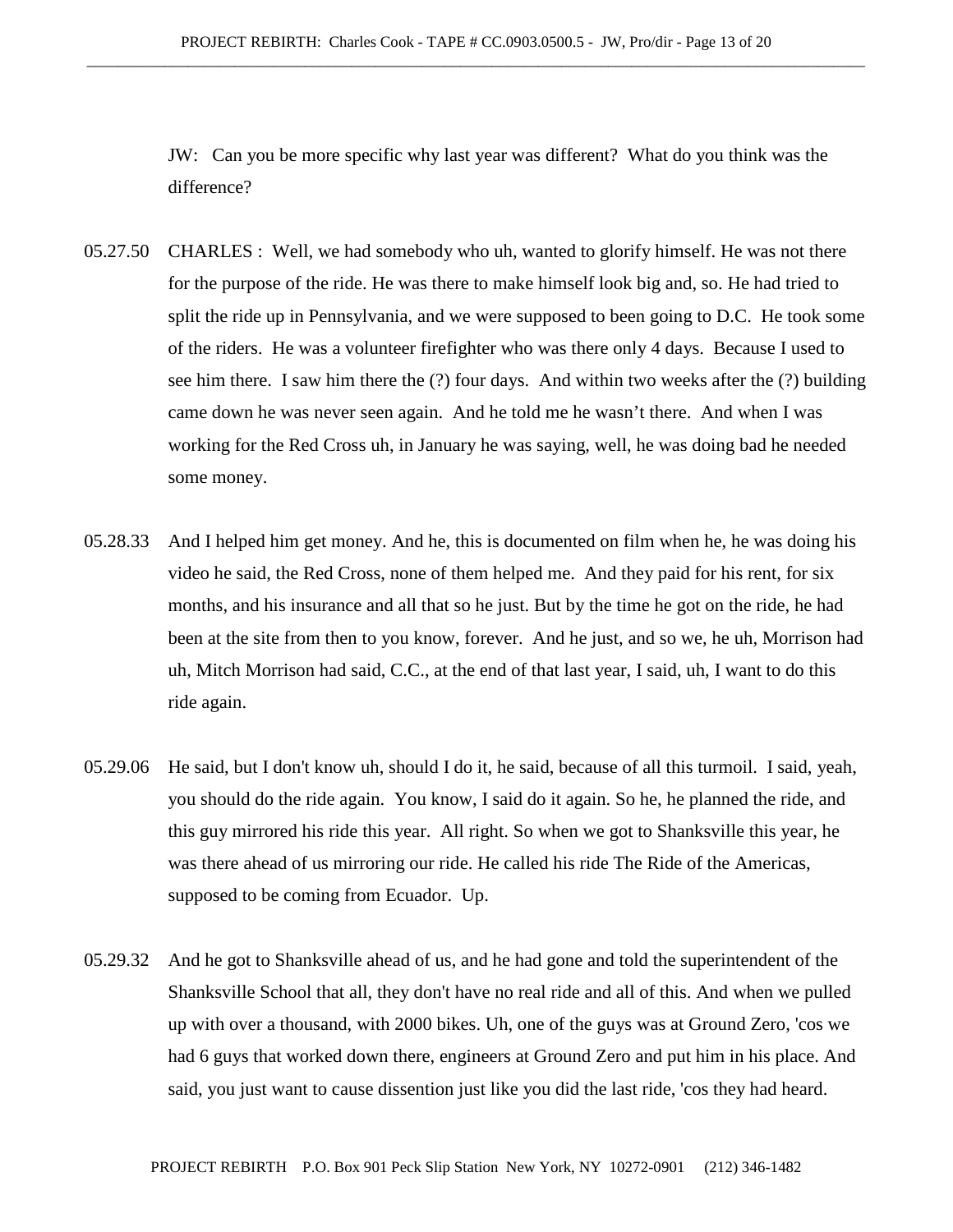JW: Can you be more specific why last year was different? What do you think was the difference?

- 05.27.50 CHARLES : Well, we had somebody who uh, wanted to glorify himself. He was not there for the purpose of the ride. He was there to make himself look big and, so. He had tried to split the ride up in Pennsylvania, and we were supposed to been going to D.C. He took some of the riders. He was a volunteer firefighter who was there only 4 days. Because I used to see him there. I saw him there the (?) four days. And within two weeks after the (?) building came down he was never seen again. And he told me he wasn't there. And when I was working for the Red Cross uh, in January he was saying, well, he was doing bad he needed some money.
- 05.28.33 And I helped him get money. And he, this is documented on film when he, he was doing his video he said, the Red Cross, none of them helped me. And they paid for his rent, for six months, and his insurance and all that so he just. But by the time he got on the ride, he had been at the site from then to you know, forever. And he just, and so we, he uh, Morrison had uh, Mitch Morrison had said, C.C., at the end of that last year, I said, uh, I want to do this ride again.
- 05.29.06 He said, but I don't know uh, should I do it, he said, because of all this turmoil. I said, yeah, you should do the ride again. You know, I said do it again. So he, he planned the ride, and this guy mirrored his ride this year. All right. So when we got to Shanksville this year, he was there ahead of us mirroring our ride. He called his ride The Ride of the Americas, supposed to be coming from Ecuador. Up.
- 05.29.32 And he got to Shanksville ahead of us, and he had gone and told the superintendent of the Shanksville School that all, they don't have no real ride and all of this. And when we pulled up with over a thousand, with 2000 bikes. Uh, one of the guys was at Ground Zero, 'cos we had 6 guys that worked down there, engineers at Ground Zero and put him in his place. And said, you just want to cause dissention just like you did the last ride, 'cos they had heard.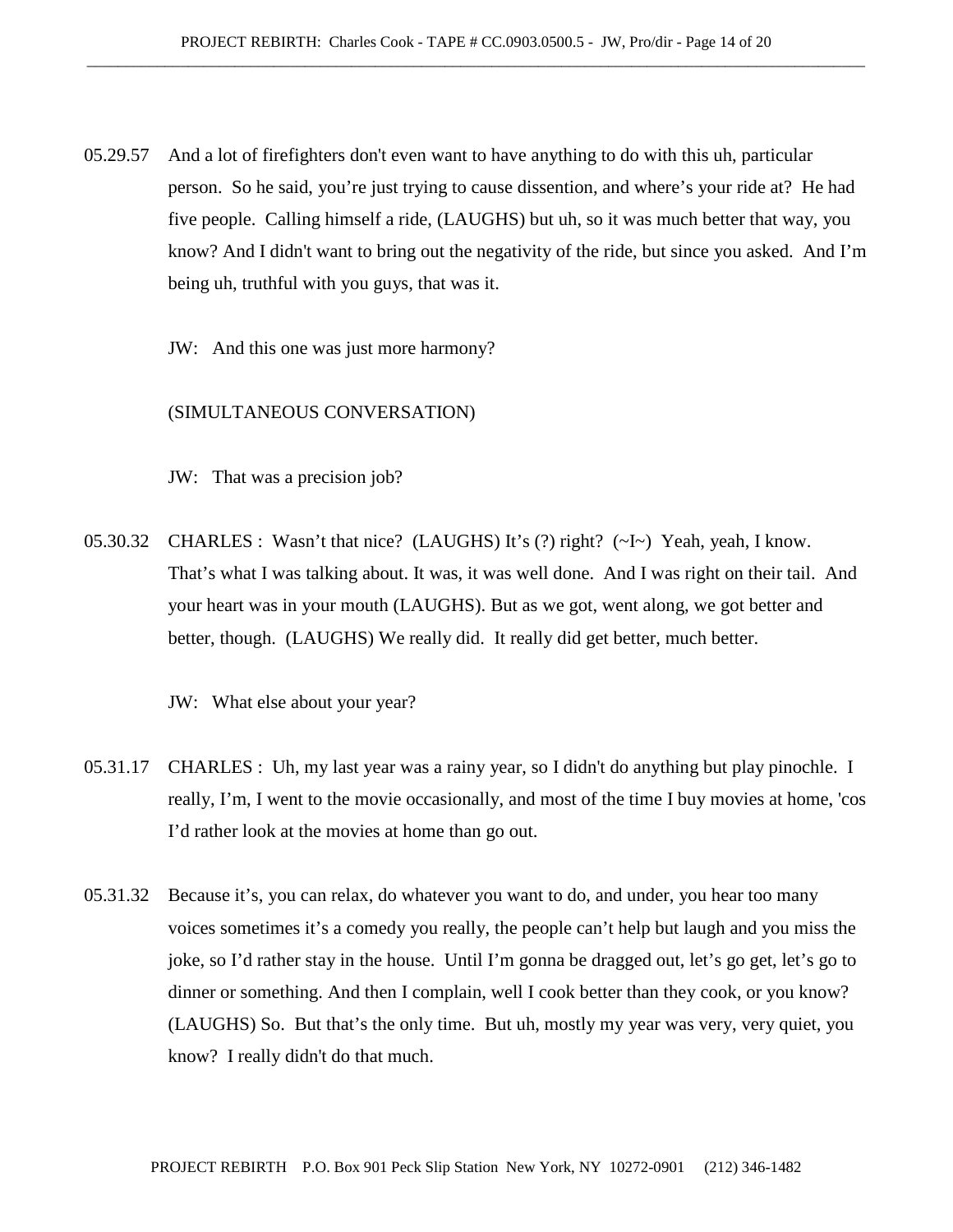- 05.29.57 And a lot of firefighters don't even want to have anything to do with this uh, particular person. So he said, you're just trying to cause dissention, and where's your ride at? He had five people. Calling himself a ride, (LAUGHS) but uh, so it was much better that way, you know? And I didn't want to bring out the negativity of the ride, but since you asked. And I'm being uh, truthful with you guys, that was it.
	- JW: And this one was just more harmony?

### (SIMULTANEOUS CONVERSATION)

JW: That was a precision job?

05.30.32 CHARLES : Wasn't that nice? (LAUGHS) It's (?) right? (~I~) Yeah, yeah, I know. That's what I was talking about. It was, it was well done. And I was right on their tail. And your heart was in your mouth (LAUGHS). But as we got, went along, we got better and better, though. (LAUGHS) We really did. It really did get better, much better.

JW: What else about your year?

- 05.31.17 CHARLES : Uh, my last year was a rainy year, so I didn't do anything but play pinochle. I really, I'm, I went to the movie occasionally, and most of the time I buy movies at home, 'cos I'd rather look at the movies at home than go out.
- 05.31.32 Because it's, you can relax, do whatever you want to do, and under, you hear too many voices sometimes it's a comedy you really, the people can't help but laugh and you miss the joke, so I'd rather stay in the house. Until I'm gonna be dragged out, let's go get, let's go to dinner or something. And then I complain, well I cook better than they cook, or you know? (LAUGHS) So. But that's the only time. But uh, mostly my year was very, very quiet, you know? I really didn't do that much.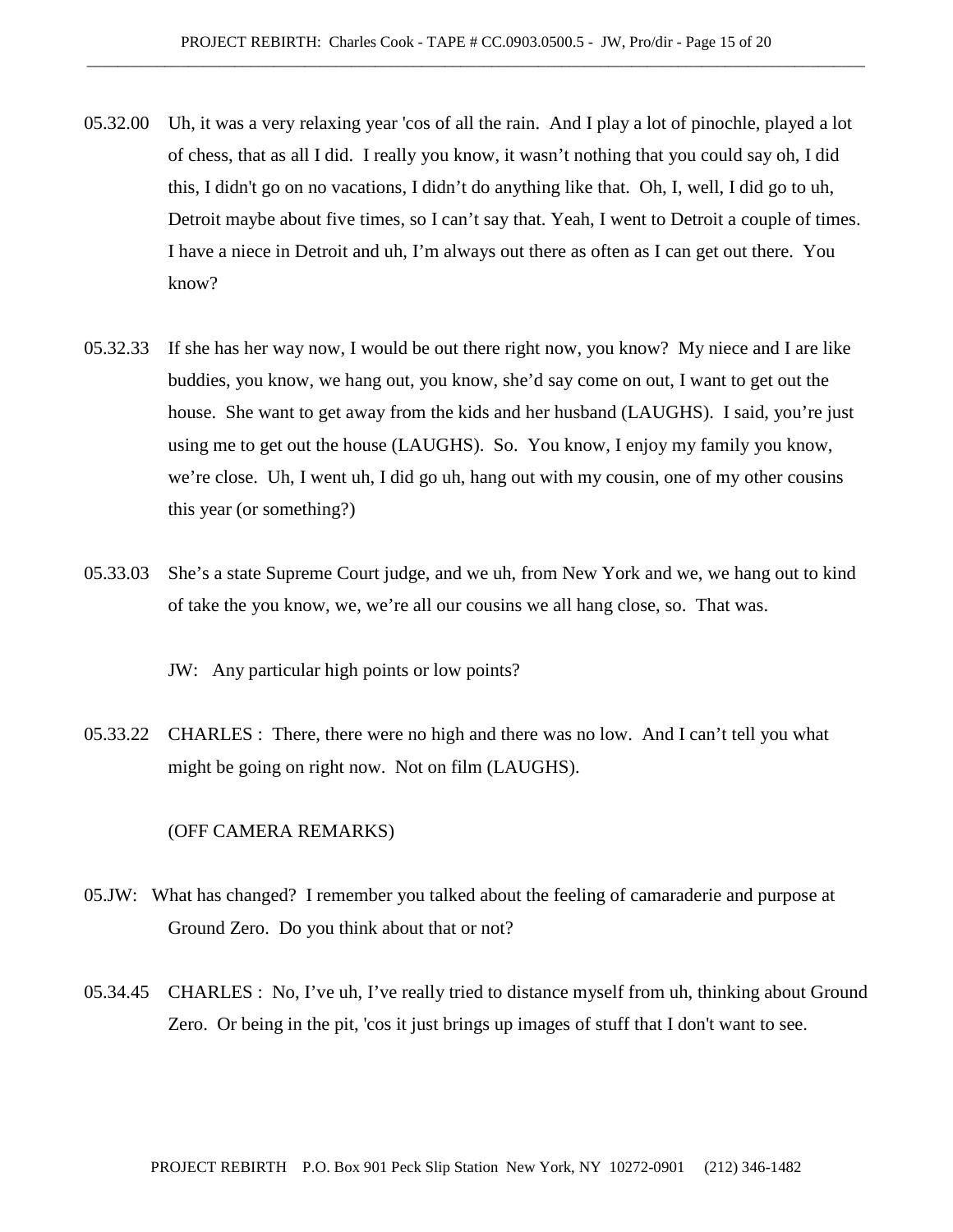- 05.32.00 Uh, it was a very relaxing year 'cos of all the rain. And I play a lot of pinochle, played a lot of chess, that as all I did. I really you know, it wasn't nothing that you could say oh, I did this, I didn't go on no vacations, I didn't do anything like that. Oh, I, well, I did go to uh, Detroit maybe about five times, so I can't say that. Yeah, I went to Detroit a couple of times. I have a niece in Detroit and uh, I'm always out there as often as I can get out there. You know?
- 05.32.33 If she has her way now, I would be out there right now, you know? My niece and I are like buddies, you know, we hang out, you know, she'd say come on out, I want to get out the house. She want to get away from the kids and her husband (LAUGHS). I said, you're just using me to get out the house (LAUGHS). So. You know, I enjoy my family you know, we're close. Uh, I went uh, I did go uh, hang out with my cousin, one of my other cousins this year (or something?)
- 05.33.03 She's a state Supreme Court judge, and we uh, from New York and we, we hang out to kind of take the you know, we, we're all our cousins we all hang close, so. That was.

JW: Any particular high points or low points?

05.33.22 CHARLES : There, there were no high and there was no low. And I can't tell you what might be going on right now. Not on film (LAUGHS).

## (OFF CAMERA REMARKS)

- 05.JW: What has changed? I remember you talked about the feeling of camaraderie and purpose at Ground Zero. Do you think about that or not?
- 05.34.45 CHARLES : No, I've uh, I've really tried to distance myself from uh, thinking about Ground Zero. Or being in the pit, 'cos it just brings up images of stuff that I don't want to see.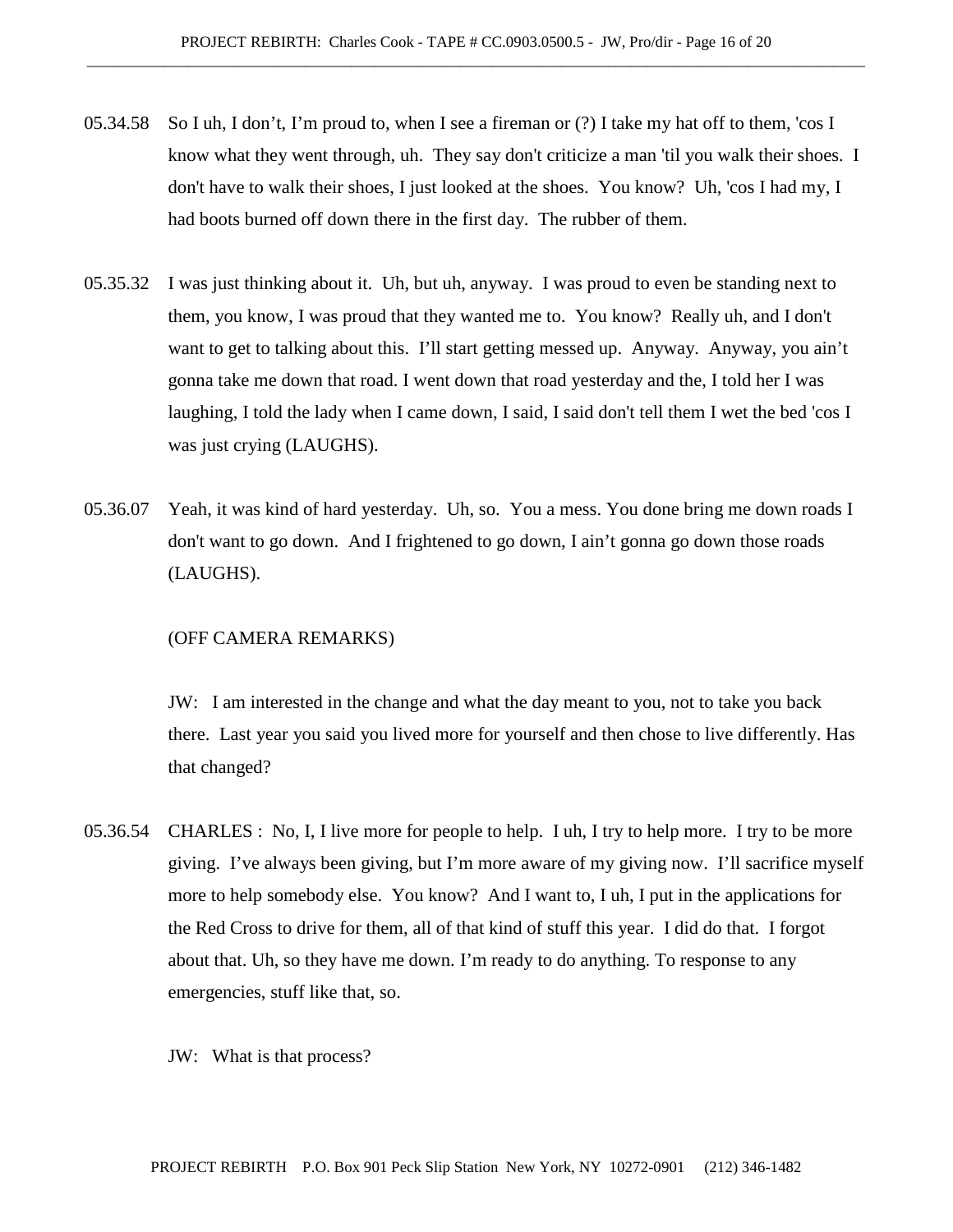- 05.34.58 So I uh, I don't, I'm proud to, when I see a fireman or (?) I take my hat off to them, 'cos I know what they went through, uh. They say don't criticize a man 'til you walk their shoes. I don't have to walk their shoes, I just looked at the shoes. You know? Uh, 'cos I had my, I had boots burned off down there in the first day. The rubber of them.
- 05.35.32 I was just thinking about it. Uh, but uh, anyway. I was proud to even be standing next to them, you know, I was proud that they wanted me to. You know? Really uh, and I don't want to get to talking about this. I'll start getting messed up. Anyway. Anyway, you ain't gonna take me down that road. I went down that road yesterday and the, I told her I was laughing, I told the lady when I came down, I said, I said don't tell them I wet the bed 'cos I was just crying (LAUGHS).
- 05.36.07 Yeah, it was kind of hard yesterday. Uh, so. You a mess. You done bring me down roads I don't want to go down. And I frightened to go down, I ain't gonna go down those roads (LAUGHS).

## (OFF CAMERA REMARKS)

JW: I am interested in the change and what the day meant to you, not to take you back there. Last year you said you lived more for yourself and then chose to live differently. Has that changed?

- 05.36.54 CHARLES : No, I, I live more for people to help. I uh, I try to help more. I try to be more giving. I've always been giving, but I'm more aware of my giving now. I'll sacrifice myself more to help somebody else. You know? And I want to, I uh, I put in the applications for the Red Cross to drive for them, all of that kind of stuff this year. I did do that. I forgot about that. Uh, so they have me down. I'm ready to do anything. To response to any emergencies, stuff like that, so.
	- JW: What is that process?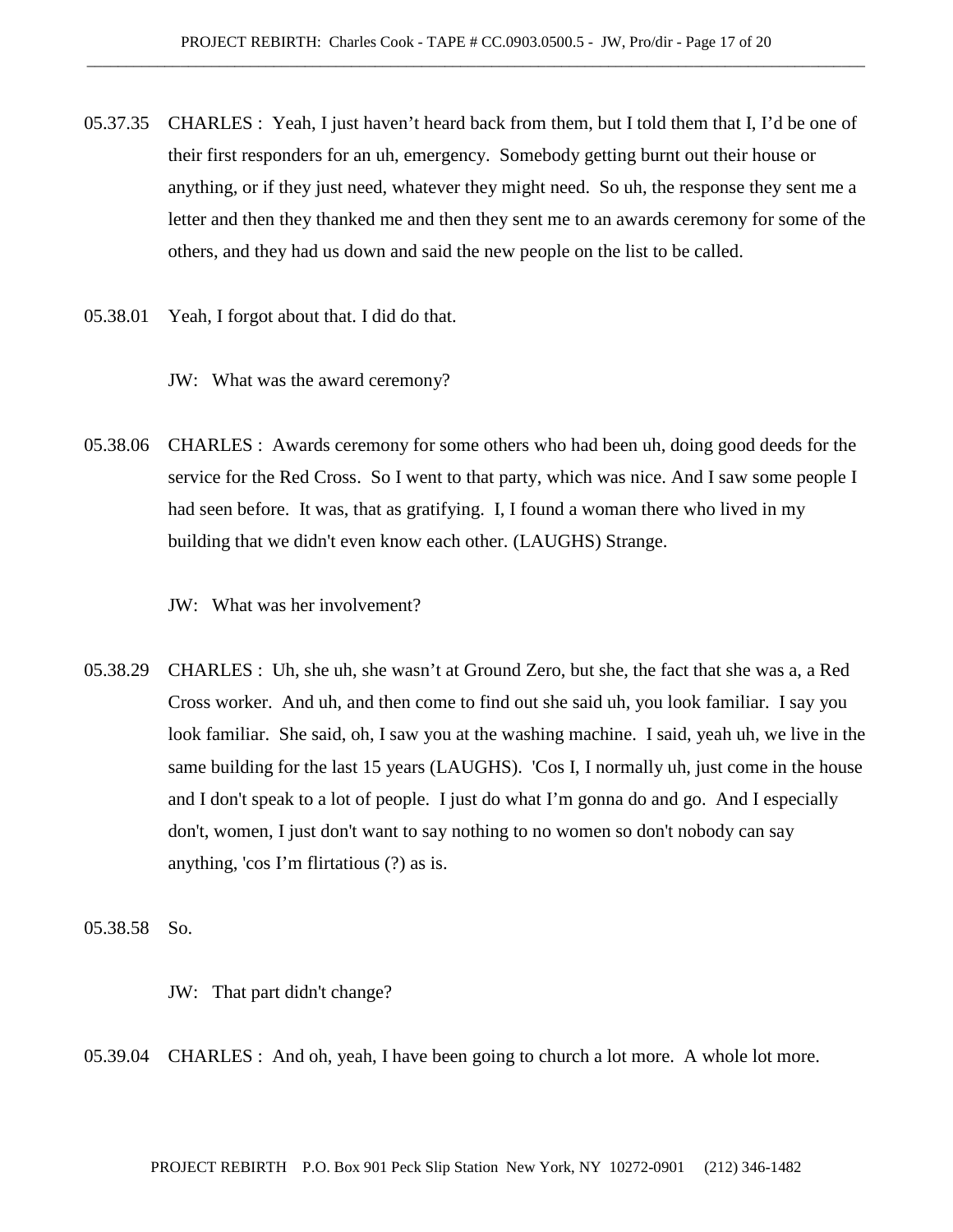- 05.37.35 CHARLES : Yeah, I just haven't heard back from them, but I told them that I, I'd be one of their first responders for an uh, emergency. Somebody getting burnt out their house or anything, or if they just need, whatever they might need. So uh, the response they sent me a letter and then they thanked me and then they sent me to an awards ceremony for some of the others, and they had us down and said the new people on the list to be called.
- 05.38.01 Yeah, I forgot about that. I did do that.
	- JW: What was the award ceremony?
- 05.38.06 CHARLES : Awards ceremony for some others who had been uh, doing good deeds for the service for the Red Cross. So I went to that party, which was nice. And I saw some people I had seen before. It was, that as gratifying. I, I found a woman there who lived in my building that we didn't even know each other. (LAUGHS) Strange.
	- JW: What was her involvement?
- 05.38.29 CHARLES : Uh, she uh, she wasn't at Ground Zero, but she, the fact that she was a, a Red Cross worker. And uh, and then come to find out she said uh, you look familiar. I say you look familiar. She said, oh, I saw you at the washing machine. I said, yeah uh, we live in the same building for the last 15 years (LAUGHS). 'Cos I, I normally uh, just come in the house and I don't speak to a lot of people. I just do what I'm gonna do and go. And I especially don't, women, I just don't want to say nothing to no women so don't nobody can say anything, 'cos I'm flirtatious (?) as is.

05.38.58 So.

JW: That part didn't change?

05.39.04 CHARLES : And oh, yeah, I have been going to church a lot more. A whole lot more.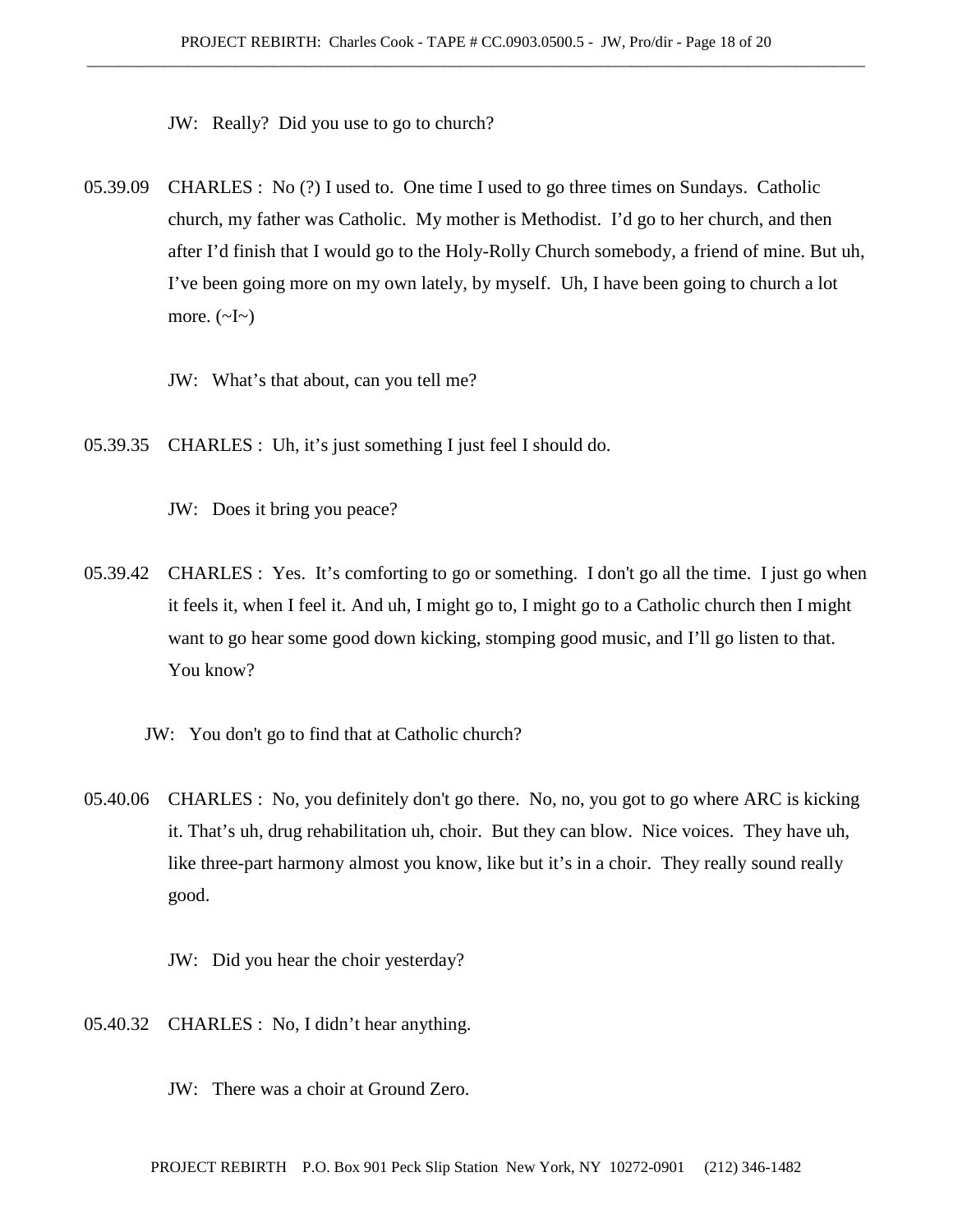JW: Really? Did you use to go to church?

- 05.39.09 CHARLES : No (?) I used to. One time I used to go three times on Sundays. Catholic church, my father was Catholic. My mother is Methodist. I'd go to her church, and then after I'd finish that I would go to the Holy-Rolly Church somebody, a friend of mine. But uh, I've been going more on my own lately, by myself. Uh, I have been going to church a lot more.  $(\sim I \sim)$ 
	- JW: What's that about, can you tell me?
- 05.39.35 CHARLES : Uh, it's just something I just feel I should do.

JW: Does it bring you peace?

- 05.39.42 CHARLES : Yes. It's comforting to go or something. I don't go all the time. I just go when it feels it, when I feel it. And uh, I might go to, I might go to a Catholic church then I might want to go hear some good down kicking, stomping good music, and I'll go listen to that. You know?
	- JW: You don't go to find that at Catholic church?
- 05.40.06 CHARLES : No, you definitely don't go there. No, no, you got to go where ARC is kicking it. That's uh, drug rehabilitation uh, choir. But they can blow. Nice voices. They have uh, like three-part harmony almost you know, like but it's in a choir. They really sound really good.

JW: Did you hear the choir yesterday?

- 05.40.32 CHARLES : No, I didn't hear anything.
	- JW: There was a choir at Ground Zero.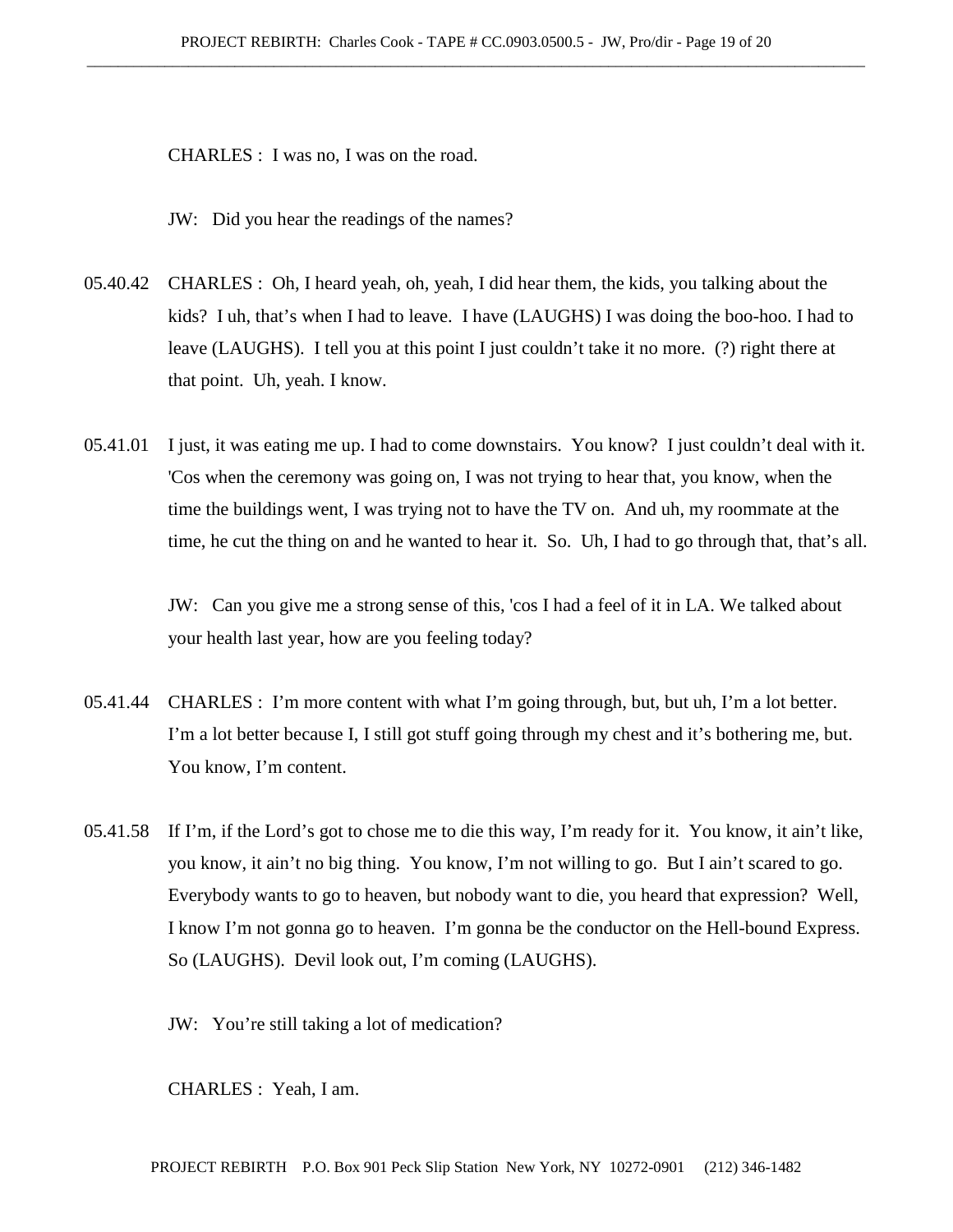CHARLES : I was no, I was on the road.

JW: Did you hear the readings of the names?

- 05.40.42 CHARLES : Oh, I heard yeah, oh, yeah, I did hear them, the kids, you talking about the kids? I uh, that's when I had to leave. I have (LAUGHS) I was doing the boo-hoo. I had to leave (LAUGHS). I tell you at this point I just couldn't take it no more. (?) right there at that point. Uh, yeah. I know.
- 05.41.01 I just, it was eating me up. I had to come downstairs. You know? I just couldn't deal with it. 'Cos when the ceremony was going on, I was not trying to hear that, you know, when the time the buildings went, I was trying not to have the TV on. And uh, my roommate at the time, he cut the thing on and he wanted to hear it. So. Uh, I had to go through that, that's all.

JW: Can you give me a strong sense of this, 'cos I had a feel of it in LA. We talked about your health last year, how are you feeling today?

- 05.41.44 CHARLES : I'm more content with what I'm going through, but, but uh, I'm a lot better. I'm a lot better because I, I still got stuff going through my chest and it's bothering me, but. You know, I'm content.
- 05.41.58 If I'm, if the Lord's got to chose me to die this way, I'm ready for it. You know, it ain't like, you know, it ain't no big thing. You know, I'm not willing to go. But I ain't scared to go. Everybody wants to go to heaven, but nobody want to die, you heard that expression? Well, I know I'm not gonna go to heaven. I'm gonna be the conductor on the Hell-bound Express. So (LAUGHS). Devil look out, I'm coming (LAUGHS).

JW: You're still taking a lot of medication?

CHARLES : Yeah, I am.